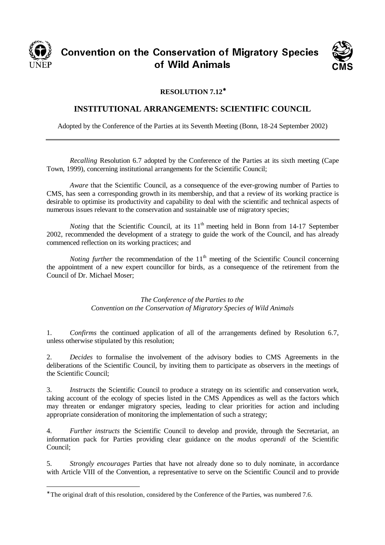

## CONVENTION ON THE CONSERVATION OF MIGRACITY OPECIES nservation o<br>Mild Asimel UT YYIN ATIITIAIS



## **RESOLUTION 7.12**<sup>∗</sup>

## **INSTITUTIONAL ARRANGEMENTS: SCIENTIFIC COUNCIL**

Adopted by the Conference of the Parties at its Seventh Meeting (Bonn, 18-24 September 2002)

*Recalling* Resolution 6.7 adopted by the Conference of the Parties at its sixth meeting (Cape Town, 1999), concerning institutional arrangements for the Scientific Council;

*Aware* that the Scientific Council, as a consequence of the ever-growing number of Parties to CMS, has seen a corresponding growth in its membership, and that a review of its working practice is desirable to optimise its productivity and capability to deal with the scientific and technical aspects of numerous issues relevant to the conservation and sustainable use of migratory species;

*Noting* that the Scientific Council, at its  $11<sup>th</sup>$  meeting held in Bonn from 14-17 September 2002, recommended the development of a strategy to guide the work of the Council, and has already commenced reflection on its working practices; and

*Noting further* the recommendation of the  $11<sup>th</sup>$  meeting of the Scientific Council concerning the appointment of a new expert councillor for birds, as a consequence of the retirement from the Council of Dr. Michael Moser;

> *The Conference of the Parties to the Convention on the Conservation of Migratory Species of Wild Animals*

1. *Confirms* the continued application of all of the arrangements defined by Resolution 6.7, unless otherwise stipulated by this resolution;

2. *Decides* to formalise the involvement of the advisory bodies to CMS Agreements in the deliberations of the Scientific Council, by inviting them to participate as observers in the meetings of the Scientific Council;

3. *Instructs* the Scientific Council to produce a strategy on its scientific and conservation work, taking account of the ecology of species listed in the CMS Appendices as well as the factors which may threaten or endanger migratory species, leading to clear priorities for action and including appropriate consideration of monitoring the implementation of such a strategy;

4. *Further instructs* the Scientific Council to develop and provide, through the Secretariat, an information pack for Parties providing clear guidance on the *modus operandi* of the Scientific Council;

5. *Strongly encourages* Parties that have not already done so to duly nominate, in accordance with Article VIII of the Convention, a representative to serve on the Scientific Council and to provide

<sup>∗</sup> The original draft of this resolution, considered by the Conference of the Parties, was numbered 7.6.